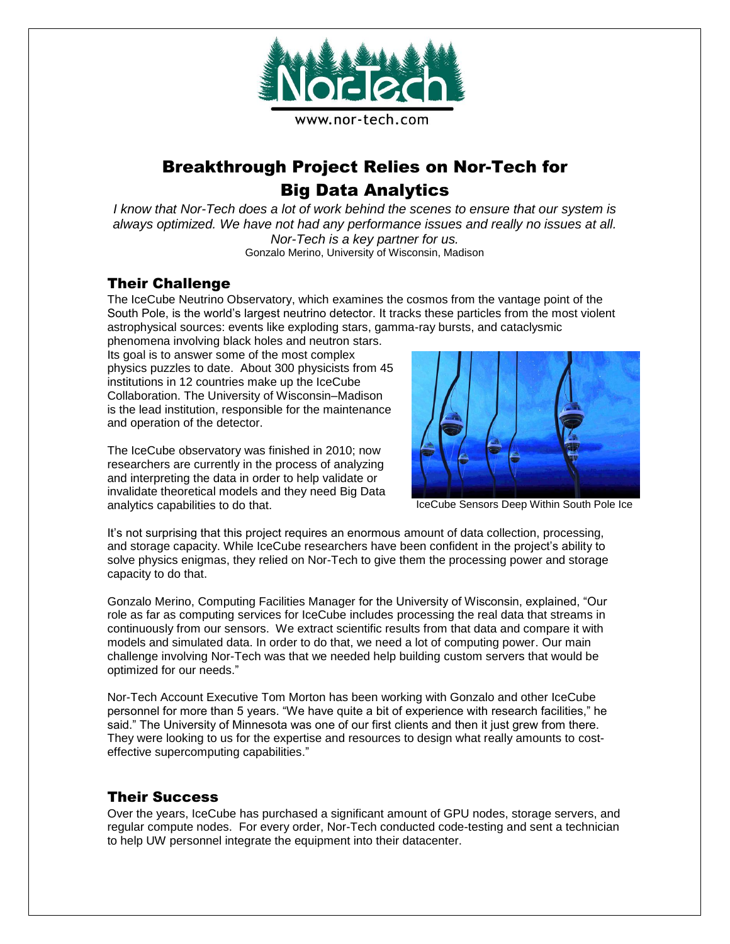

# Breakthrough Project Relies on Nor-Tech for Big Data Analytics

*I know that Nor-Tech does a lot of work behind the scenes to ensure that our system is always optimized. We have not had any performance issues and really no issues at all. Nor-Tech is a key partner for us.* Gonzalo Merino, University of Wisconsin, Madison

### Their Challenge

The IceCube Neutrino Observatory, which examines the cosmos from the vantage point of the South Pole, is the world's largest neutrino detector. It tracks these particles from the most violent astrophysical sources: events like exploding stars, gamma-ray bursts, and cataclysmic

phenomena involving black holes and neutron stars. Its goal is to answer some of the most complex physics puzzles to date. About 300 physicists from 45 institutions in 12 countries make up the IceCube Collaboration. The University of Wisconsin–Madison is the lead institution, responsible for the maintenance and operation of the detector.

The IceCube observatory was finished in 2010; now researchers are currently in the process of analyzing and interpreting the data in order to help validate or invalidate theoretical models and they need Big Data analytics capabilities to do that.



IceCube Sensors Deep Within South Pole Ice

It's not surprising that this project requires an enormous amount of data collection, processing, and storage capacity. While IceCube researchers have been confident in the project's ability to solve physics enigmas, they relied on Nor-Tech to give them the processing power and storage capacity to do that.

Gonzalo Merino, Computing Facilities Manager for the University of Wisconsin, explained, "Our role as far as computing services for IceCube includes processing the real data that streams in continuously from our sensors. We extract scientific results from that data and compare it with models and simulated data. In order to do that, we need a lot of computing power. Our main challenge involving Nor-Tech was that we needed help building custom servers that would be optimized for our needs."

Nor-Tech Account Executive Tom Morton has been working with Gonzalo and other IceCube personnel for more than 5 years. "We have quite a bit of experience with research facilities," he said." The University of Minnesota was one of our first clients and then it just grew from there. They were looking to us for the expertise and resources to design what really amounts to costeffective supercomputing capabilities."

#### Their Success

Over the years, IceCube has purchased a significant amount of GPU nodes, storage servers, and regular compute nodes. For every order, Nor-Tech conducted code-testing and sent a technician to help UW personnel integrate the equipment into their datacenter.